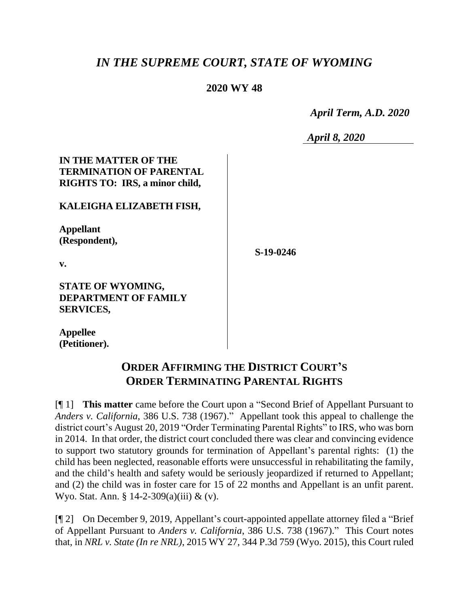# *IN THE SUPREME COURT, STATE OF WYOMING*

## **2020 WY 48**

 *April Term, A.D. 2020*

*April 8, 2020*

## **IN THE MATTER OF THE TERMINATION OF PARENTAL RIGHTS TO: IRS, a minor child,**

### **KALEIGHA ELIZABETH FISH,**

**Appellant (Respondent),**

**S-19-0246**

**v.**

#### **STATE OF WYOMING, DEPARTMENT OF FAMILY SERVICES,**

**Appellee (Petitioner).**

# **ORDER AFFIRMING THE DISTRICT COURT'S ORDER TERMINATING PARENTAL RIGHTS**

[¶ 1] **This matter** came before the Court upon a "Second Brief of Appellant Pursuant to *Anders v. California*, 386 U.S. 738 (1967)." Appellant took this appeal to challenge the district court's August 20, 2019 "Order Terminating Parental Rights" to IRS, who was born in 2014. In that order, the district court concluded there was clear and convincing evidence to support two statutory grounds for termination of Appellant's parental rights: (1) the child has been neglected, reasonable efforts were unsuccessful in rehabilitating the family, and the child's health and safety would be seriously jeopardized if returned to Appellant; and (2) the child was in foster care for 15 of 22 months and Appellant is an unfit parent. Wyo. Stat. Ann. § 14-2-309(a)(iii) & (v).

[¶ 2] On December 9, 2019, Appellant's court-appointed appellate attorney filed a "Brief of Appellant Pursuant to *Anders v. California*, 386 U.S. 738 (1967)." This Court notes that, in *NRL v. State (In re NRL)*, 2015 WY 27, 344 P.3d 759 (Wyo. 2015), this Court ruled